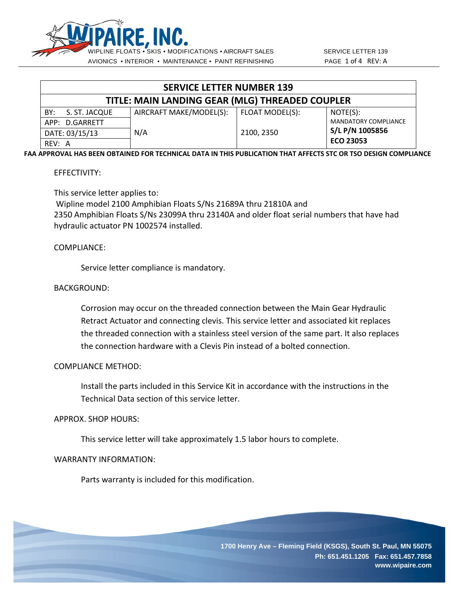

| <b>SERVICE LETTER NUMBER 139</b>                |                         |                 |                             |  |  |
|-------------------------------------------------|-------------------------|-----------------|-----------------------------|--|--|
| TITLE: MAIN LANDING GEAR (MLG) THREADED COUPLER |                         |                 |                             |  |  |
| S. ST. JACQUE<br>BY:                            | AIRCRAFT MAKE/MODEL(S): | FLOAT MODEL(S): | NOTE(S):                    |  |  |
| APP: D.GARRETT                                  |                         |                 | <b>MANDATORY COMPLIANCE</b> |  |  |
| DATE: 03/15/13                                  | N/A                     | 2100, 2350      | S/L P/N 1005856             |  |  |
| RFV: A                                          |                         |                 | <b>ECO 23053</b>            |  |  |

**FAA APPROVAL HAS BEEN OBTAINED FOR TECHNICAL DATA IN THIS PUBLICATION THAT AFFECTS STC OR TSO DESIGN COMPLIANCE**

### EFFECTIVITY:

This service letter applies to:

Wipline model 2100 Amphibian Floats S/Ns 21689A thru 21810A and 2350 Amphibian Floats S/Ns 23099A thru 23140A and older float serial numbers that have had hydraulic actuator PN 1002574 installed.

## COMPLIANCE:

Service letter compliance is mandatory.

### BACKGROUND:

Corrosion may occur on the threaded connection between the Main Gear Hydraulic Retract Actuator and connecting clevis. This service letter and associated kit replaces the threaded connection with a stainless steel version of the same part. It also replaces the connection hardware with a Clevis Pin instead of a bolted connection.

### COMPLIANCE METHOD:

Install the parts included in this Service Kit in accordance with the instructions in the Technical Data section of this service letter.

### APPROX. SHOP HOURS:

This service letter will take approximately 1.5 labor hours to complete.

### WARRANTY INFORMATION:

Parts warranty is included for this modification.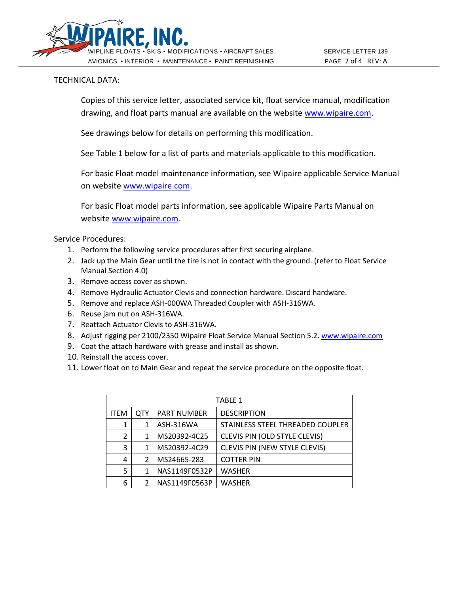

# TECHNICAL DATA:

Copies of this service letter, associated service kit, float service manual, modification drawing, and float parts manual are available on the website [www.wipaire.com.](http://www.wipaire.com/)

See drawings below for details on performing this modification.

See Table 1 below for a list of parts and materials applicable to this modification.

For basic Float model maintenance information, see Wipaire applicable Service Manual on website [www.wipaire.com.](http://www.wipaire.com/)

For basic Float model parts information, see applicable Wipaire Parts Manual on website [www.wipaire.com.](http://www.wipaire.com/)

Service Procedures:

- 1. Perform the following service procedures after first securing airplane.
- 2. Jack up the Main Gear until the tire is not in contact with the ground. (refer to Float Service Manual Section 4.0)
- 3. Remove access cover as shown.
- 4. Remove Hydraulic Actuator Clevis and connection hardware. Discard hardware.
- 5. Remove and replace ASH-000WA Threaded Coupler with ASH-316WA.
- 6. Reuse jam nut on ASH-316WA.
- 7. Reattach Actuator Clevis to ASH-316WA.
- 8. Adjust rigging per 2100/2350 Wipaire Float Service Manual Section 5.2. [www.wipaire.com](http://www.wipaire.com/)
- 9. Coat the attach hardware with grease and install as shown.
- 10. Reinstall the access cover.
- 11. Lower float on to Main Gear and repeat the service procedure on the opposite float.

| <b>TABLE 1</b> |     |                    |                                      |  |
|----------------|-----|--------------------|--------------------------------------|--|
| <b>ITEM</b>    | QTY | <b>PART NUMBER</b> | <b>DESCRIPTION</b>                   |  |
| 1              |     | ASH-316WA          | STAINLESS STEEL THREADED COUPLER     |  |
| 2              | 1   | MS20392-4C25       | CLEVIS PIN (OLD STYLE CLEVIS)        |  |
| 3              | 1   | MS20392-4C29       | <b>CLEVIS PIN (NEW STYLE CLEVIS)</b> |  |
| 4              | 2   | MS24665-283        | <b>COTTER PIN</b>                    |  |
| 5              |     | NAS1149F0532P      | <b>WASHER</b>                        |  |
| 6              | 2   | NAS1149F0563P      | <b>WASHER</b>                        |  |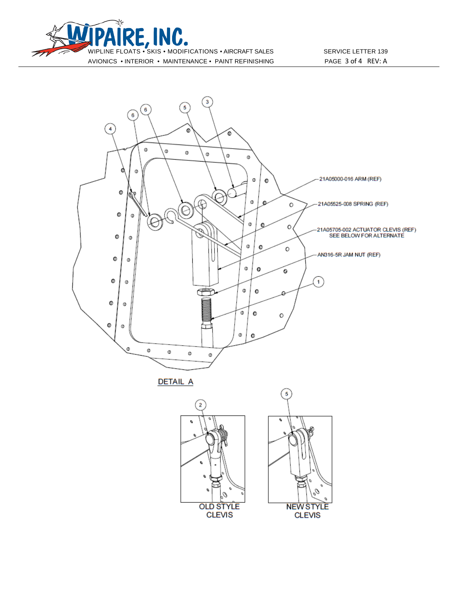



**DETAIL A**